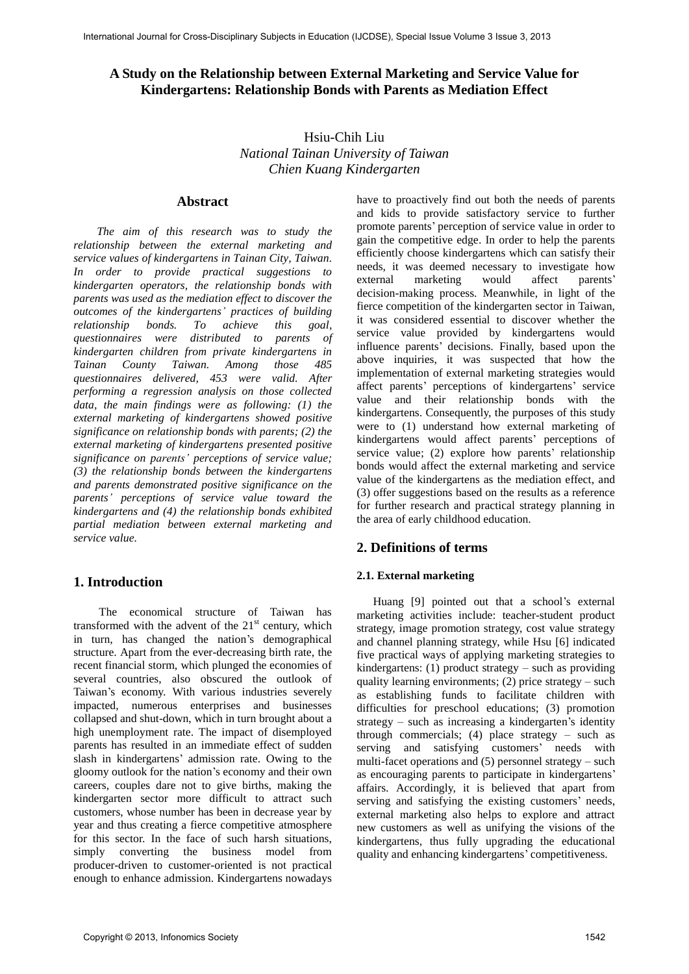# **A Study on the Relationship between External Marketing and Service Value for Kindergartens: Relationship Bonds with Parents as Mediation Effect**

Hsiu-Chih Liu *National Tainan University of Taiwan Chien Kuang Kindergarten* 

## **Abstract**

 *The aim of this research was to study the relationship between the external marketing and service values of kindergartens in Tainan City, Taiwan. In order to provide practical suggestions to kindergarten operators, the relationship bonds with parents was used as the mediation effect to discover the outcomes of the kindergartens' practices of building relationship bonds. To achieve this goal, questionnaires were distributed to parents of kindergarten children from private kindergartens in Tainan County Taiwan. Among those 485 questionnaires delivered, 453 were valid. After performing a regression analysis on those collected data, the main findings were as following: (1) the external marketing of kindergartens showed positive significance on relationship bonds with parents; (2) the external marketing of kindergartens presented positive significance on parents' perceptions of service value; (3) the relationship bonds between the kindergartens and parents demonstrated positive significance on the parents' perceptions of service value toward the kindergartens and (4) the relationship bonds exhibited partial mediation between external marketing and service value.* 

# **1. Introduction**

 The economical structure of Taiwan has transformed with the advent of the  $21<sup>st</sup>$  century, which in turn, has changed the nation's demographical structure. Apart from the ever-decreasing birth rate, the recent financial storm, which plunged the economies of several countries, also obscured the outlook of Taiwan's economy. With various industries severely impacted, numerous enterprises and businesses collapsed and shut-down, which in turn brought about a high unemployment rate. The impact of disemployed parents has resulted in an immediate effect of sudden slash in kindergartens' admission rate. Owing to the gloomy outlook for the nation's economy and their own careers, couples dare not to give births, making the kindergarten sector more difficult to attract such customers, whose number has been in decrease year by year and thus creating a fierce competitive atmosphere for this sector. In the face of such harsh situations, simply converting the business model from producer-driven to customer-oriented is not practical enough to enhance admission. Kindergartens nowadays

have to proactively find out both the needs of parents and kids to provide satisfactory service to further promote parents' perception of service value in order to gain the competitive edge. In order to help the parents efficiently choose kindergartens which can satisfy their needs, it was deemed necessary to investigate how external marketing would affect parents' decision-making process. Meanwhile, in light of the fierce competition of the kindergarten sector in Taiwan, it was considered essential to discover whether the service value provided by kindergartens would influence parents' decisions. Finally, based upon the above inquiries, it was suspected that how the implementation of external marketing strategies would affect parents' perceptions of kindergartens' service value and their relationship bonds with the kindergartens. Consequently, the purposes of this study were to (1) understand how external marketing of kindergartens would affect parents' perceptions of service value; (2) explore how parents' relationship bonds would affect the external marketing and service value of the kindergartens as the mediation effect, and (3) offer suggestions based on the results as a reference for further research and practical strategy planning in the area of early childhood education.

# **2. Definitions of terms**

## **2.1. External marketing**

Huang [9] pointed out that a school's external marketing activities include: teacher-student product strategy, image promotion strategy, cost value strategy and channel planning strategy, while Hsu [6] indicated five practical ways of applying marketing strategies to kindergartens:  $(1)$  product strategy – such as providing quality learning environments;  $(2)$  price strategy – such as establishing funds to facilitate children with difficulties for preschool educations; (3) promotion strategy – such as increasing a kindergarten's identity through commercials; (4) place strategy – such as serving and satisfying customers' needs with multi-facet operations and (5) personnel strategy – such as encouraging parents to participate in kindergartens' affairs. Accordingly, it is believed that apart from serving and satisfying the existing customers' needs, external marketing also helps to explore and attract new customers as well as unifying the visions of the kindergartens, thus fully upgrading the educational quality and enhancing kindergartens' competitiveness.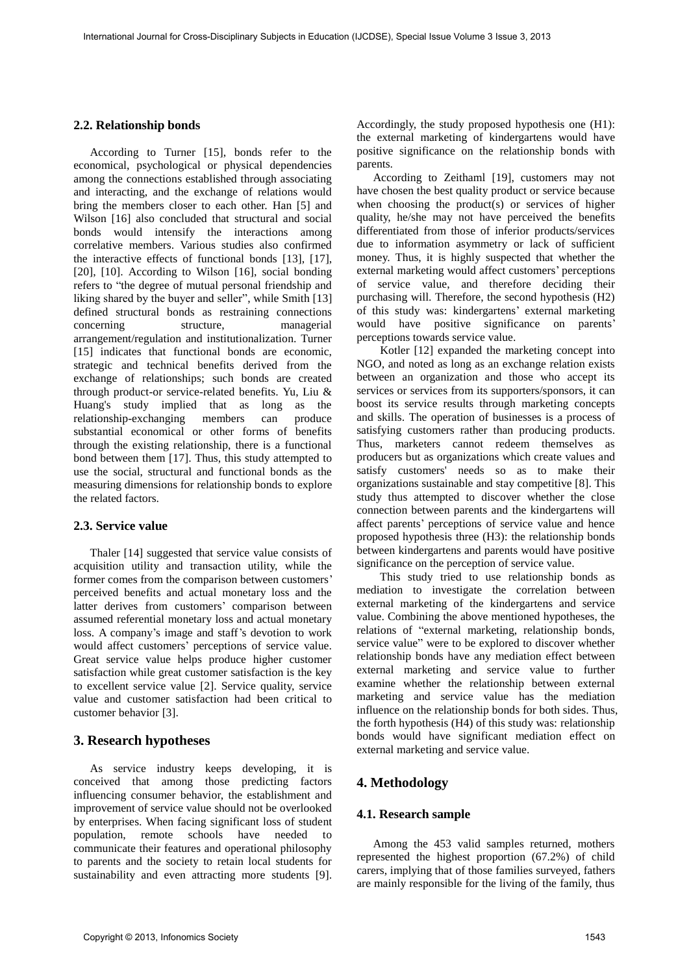### **2.2. Relationship bonds**

According to Turner [15], bonds refer to the economical, psychological or physical dependencies among the connections established through associating and interacting, and the exchange of relations would bring the members closer to each other. Han [5] and Wilson [16] also concluded that structural and social bonds would intensify the interactions among correlative members. Various studies also confirmed the interactive effects of functional bonds [13], [17], [20], [10]. According to Wilson [16], social bonding refers to "the degree of mutual personal friendship and liking shared by the buyer and seller", while Smith [13] defined structural bonds as restraining connections concerning structure, managerial arrangement/regulation and institutionalization. Turner [15] indicates that functional bonds are economic, strategic and technical benefits derived from the exchange of relationships; such bonds are created through product-or service-related benefits. Yu, Liu & Huang's study implied that as long as the relationship-exchanging members can produce substantial economical or other forms of benefits through the existing relationship, there is a functional bond between them [17]. Thus, this study attempted to use the social, structural and functional bonds as the measuring dimensions for relationship bonds to explore the related factors.

#### **2.3. Service value**

Thaler [14] suggested that service value consists of acquisition utility and transaction utility, while the former comes from the comparison between customers' perceived benefits and actual monetary loss and the latter derives from customers' comparison between assumed referential monetary loss and actual monetary loss. A company's image and staff's devotion to work would affect customers' perceptions of service value. Great service value helps produce higher customer satisfaction while great customer satisfaction is the key to excellent service value [2]. Service quality, service value and customer satisfaction had been critical to customer behavior [3].

# **3. Research hypotheses**

As service industry keeps developing, it is conceived that among those predicting factors influencing consumer behavior, the establishment and improvement of service value should not be overlooked by enterprises. When facing significant loss of student population, remote schools have needed to communicate their features and operational philosophy to parents and the society to retain local students for sustainability and even attracting more students [9]. Accordingly, the study proposed hypothesis one (H1): the external marketing of kindergartens would have positive significance on the relationship bonds with parents.

According to Zeithaml [19], customers may not have chosen the best quality product or service because when choosing the product(s) or services of higher quality, he/she may not have perceived the benefits differentiated from those of inferior products/services due to information asymmetry or lack of sufficient money. Thus, it is highly suspected that whether the external marketing would affect customers' perceptions of service value, and therefore deciding their purchasing will. Therefore, the second hypothesis (H2) of this study was: kindergartens' external marketing would have positive significance on parents' perceptions towards service value.

 Kotler [12] expanded the marketing concept into NGO, and noted as long as an exchange relation exists between an organization and those who accept its services or services from its supporters/sponsors, it can boost its service results through marketing concepts and skills. The operation of businesses is a process of satisfying customers rather than producing products. Thus, marketers cannot redeem themselves as producers but as organizations which create values and satisfy customers' needs so as to make their organizations sustainable and stay competitive [8]. This study thus attempted to discover whether the close connection between parents and the kindergartens will affect parents' perceptions of service value and hence proposed hypothesis three (H3): the relationship bonds between kindergartens and parents would have positive significance on the perception of service value.

 This study tried to use relationship bonds as mediation to investigate the correlation between external marketing of the kindergartens and service value. Combining the above mentioned hypotheses, the relations of "external marketing, relationship bonds, service value" were to be explored to discover whether relationship bonds have any mediation effect between external marketing and service value to further examine whether the relationship between external marketing and service value has the mediation influence on the relationship bonds for both sides. Thus, the forth hypothesis (H4) of this study was: relationship bonds would have significant mediation effect on external marketing and service value.

## **4. Methodology**

#### **4.1. Research sample**

Among the 453 valid samples returned, mothers represented the highest proportion (67.2%) of child carers, implying that of those families surveyed, fathers are mainly responsible for the living of the family, thus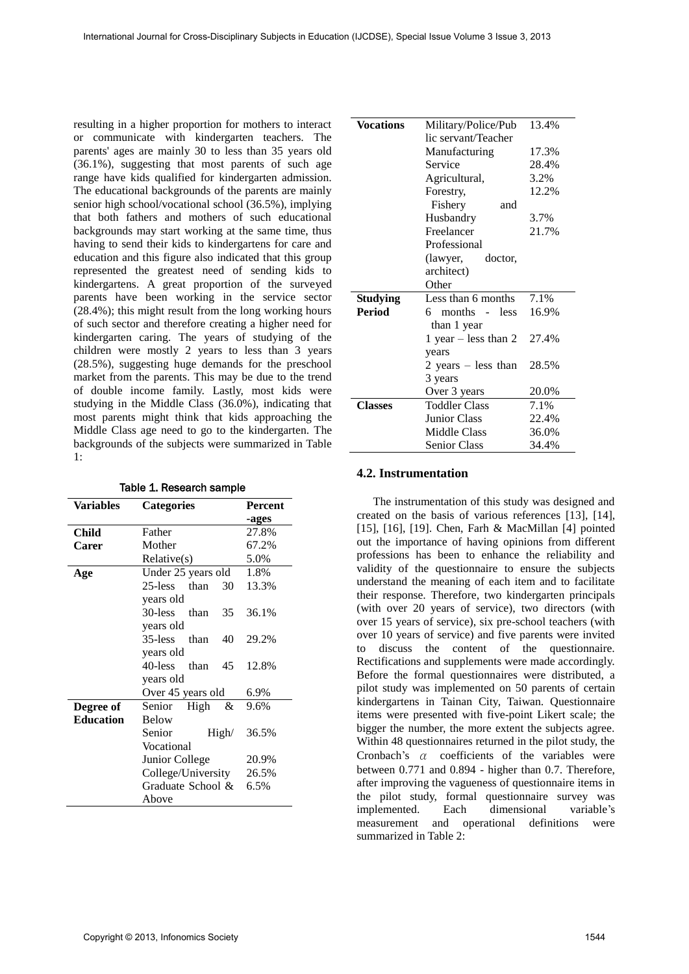resulting in a higher proportion for mothers to interact or communicate with kindergarten teachers. The parents' ages are mainly 30 to less than 35 years old (36.1%), suggesting that most parents of such age range have kids qualified for kindergarten admission. The educational backgrounds of the parents are mainly senior high school/vocational school (36.5%), implying that both fathers and mothers of such educational backgrounds may start working at the same time, thus having to send their kids to kindergartens for care and education and this figure also indicated that this group represented the greatest need of sending kids to kindergartens. A great proportion of the surveyed parents have been working in the service sector (28.4%); this might result from the long working hours of such sector and therefore creating a higher need for kindergarten caring. The years of studying of the children were mostly 2 years to less than 3 years (28.5%), suggesting huge demands for the preschool market from the parents. This may be due to the trend of double income family. Lastly, most kids were studying in the Middle Class (36.0%), indicating that most parents might think that kids approaching the Middle Class age need to go to the kindergarten. The backgrounds of the subjects were summarized in Table 1:

| Variables        | <b>Categories</b>     | Percent |  |  |  |
|------------------|-----------------------|---------|--|--|--|
|                  |                       | -ages   |  |  |  |
| Child            | Father                | 27.8%   |  |  |  |
| Carer            | Mother                | 67.2%   |  |  |  |
|                  | Relative(s)           | 5.0%    |  |  |  |
| Age              | Under 25 years old    | 1.8%    |  |  |  |
|                  | 25-less than<br>30    | 13.3%   |  |  |  |
|                  | years old             |         |  |  |  |
|                  | 30-less<br>35<br>than | 36.1%   |  |  |  |
|                  | years old             |         |  |  |  |
|                  | 35-less than<br>40    | 29.2%   |  |  |  |
|                  | years old             |         |  |  |  |
|                  | 40-less<br>than<br>45 | 12.8%   |  |  |  |
|                  | years old             |         |  |  |  |
|                  | Over 45 years old     | 6.9%    |  |  |  |
| Degree of        | Senior<br>High<br>&   | 9.6%    |  |  |  |
| <b>Education</b> | <b>Below</b>          |         |  |  |  |
|                  | Senior<br>High/       | 36.5%   |  |  |  |
|                  | Vocational            |         |  |  |  |
|                  | Junior College        | 20.9%   |  |  |  |
|                  | College/University    | 26.5%   |  |  |  |
|                  | Graduate School &     | 6.5%    |  |  |  |
|                  | Above                 |         |  |  |  |

| Table 1. Research sample |  |
|--------------------------|--|
|--------------------------|--|

| Vocations       | Military/Police/Pub                                 | 13.4% |  |  |  |
|-----------------|-----------------------------------------------------|-------|--|--|--|
|                 | lic servant/Teacher                                 |       |  |  |  |
|                 | Manufacturing                                       | 17.3% |  |  |  |
|                 | Service                                             | 28.4% |  |  |  |
|                 | Agricultural,                                       | 3.2%  |  |  |  |
|                 | Forestry,                                           | 12.2% |  |  |  |
|                 | Fishery<br>and                                      |       |  |  |  |
|                 | Husbandry                                           | 3.7%  |  |  |  |
|                 | Freelancer                                          | 21.7% |  |  |  |
|                 | Professional                                        |       |  |  |  |
|                 | (lawyer,<br>doctor,                                 |       |  |  |  |
|                 | architect)                                          |       |  |  |  |
|                 | Other                                               |       |  |  |  |
| <b>Studying</b> | Less than 6 months                                  | 7.1%  |  |  |  |
| <b>Period</b>   | 6 months<br><b>less</b><br>$\overline{\phantom{a}}$ | 16.9% |  |  |  |
|                 | than 1 year                                         |       |  |  |  |
|                 | 1 year $-$ less than 2                              | 27.4% |  |  |  |
|                 | years                                               |       |  |  |  |
|                 | 2 years – less than                                 | 28.5% |  |  |  |
|                 | 3 years                                             |       |  |  |  |
|                 | Over 3 years                                        | 20.0% |  |  |  |
| <b>Classes</b>  | <b>Toddler Class</b>                                | 7.1%  |  |  |  |
|                 | <b>Junior Class</b>                                 | 22.4% |  |  |  |
|                 | Middle Class                                        | 36.0% |  |  |  |
|                 | <b>Senior Class</b>                                 | 34.4% |  |  |  |

#### **4.2. Instrumentation**

The instrumentation of this study was designed and created on the basis of various references [13], [14], [15], [16], [19]. Chen, Farh & MacMillan [4] pointed out the importance of having opinions from different professions has been to enhance the reliability and validity of the questionnaire to ensure the subjects understand the meaning of each item and to facilitate their response. Therefore, two kindergarten principals (with over 20 years of service), two directors (with over 15 years of service), six pre-school teachers (with over 10 years of service) and five parents were invited to discuss the content of the questionnaire. Rectifications and supplements were made accordingly. Before the formal questionnaires were distributed, a pilot study was implemented on 50 parents of certain kindergartens in Tainan City, Taiwan. Questionnaire items were presented with five-point Likert scale; the bigger the number, the more extent the subjects agree. Within 48 questionnaires returned in the pilot study, the Cronbach's α coefficients of the variables were between 0.771 and 0.894 - higher than 0.7. Therefore, after improving the vagueness of questionnaire items in the pilot study, formal questionnaire survey was implemented. Each dimensional variable's measurement and operational definitions were summarized in Table 2: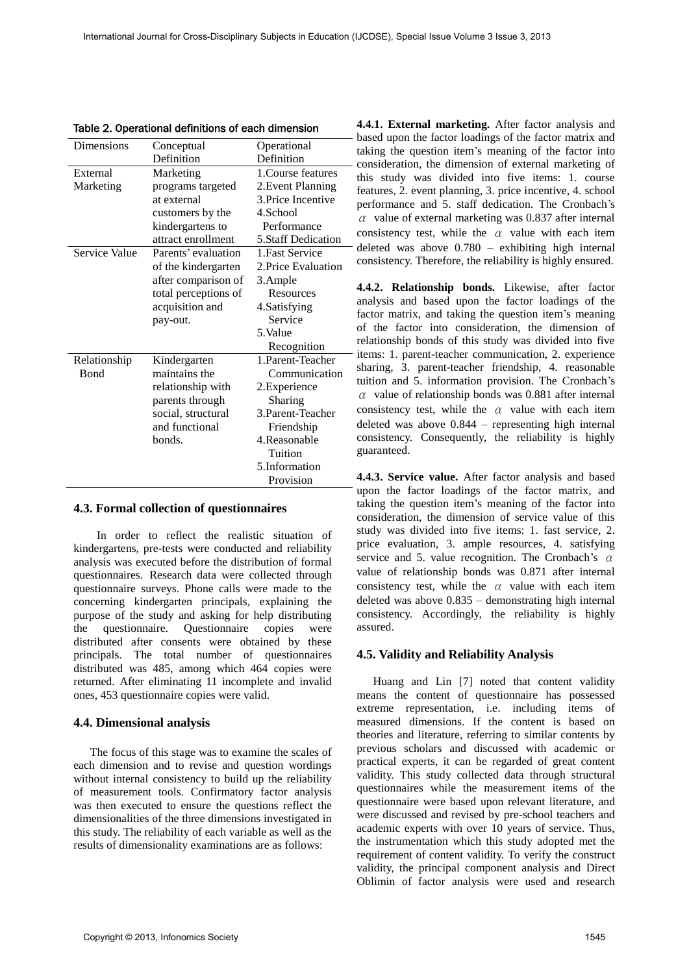| apio zi oporational aomintono or oaom almo |                      |                     |  |  |  |
|--------------------------------------------|----------------------|---------------------|--|--|--|
| Dimensions                                 | Conceptual           | Operational         |  |  |  |
|                                            | Definition           | Definition          |  |  |  |
| External                                   | Marketing            | 1. Course features  |  |  |  |
| Marketing                                  | programs targeted    | 2. Event Planning   |  |  |  |
|                                            | at external          | 3. Price Incentive  |  |  |  |
|                                            | customers by the     | 4.School            |  |  |  |
|                                            | kindergartens to     | Performance         |  |  |  |
|                                            | attract enrollment   | 5.Staff Dedication  |  |  |  |
| Service Value                              | Parents' evaluation  | 1. Fast Service     |  |  |  |
|                                            | of the kindergarten  | 2. Price Evaluation |  |  |  |
|                                            | after comparison of  | 3.Ample             |  |  |  |
|                                            | total perceptions of | Resources           |  |  |  |
|                                            | acquisition and      | 4. Satisfying       |  |  |  |
|                                            | pay-out.             | Service             |  |  |  |
|                                            |                      | 5.Value             |  |  |  |
|                                            |                      | Recognition         |  |  |  |
| Relationship                               | Kindergarten         | 1. Parent-Teacher   |  |  |  |
| <b>B</b> ond                               | maintains the        | Communication       |  |  |  |
|                                            | relationship with    | 2.Experience        |  |  |  |
|                                            | parents through      | Sharing             |  |  |  |
|                                            | social, structural   | 3. Parent-Teacher   |  |  |  |
|                                            | and functional       | Friendship          |  |  |  |
|                                            | bonds.               | 4.Reasonable        |  |  |  |
|                                            |                      | Tuition             |  |  |  |
|                                            |                      | 5.Information       |  |  |  |
|                                            |                      | Provision           |  |  |  |

Table 2. Operational definitions of each dimension

#### **4.3. Formal collection of questionnaires**

 In order to reflect the realistic situation of kindergartens, pre-tests were conducted and reliability analysis was executed before the distribution of formal questionnaires. Research data were collected through questionnaire surveys. Phone calls were made to the concerning kindergarten principals, explaining the purpose of the study and asking for help distributing the questionnaire. Questionnaire copies were distributed after consents were obtained by these principals. The total number of questionnaires distributed was 485, among which 464 copies were returned. After eliminating 11 incomplete and invalid ones, 453 questionnaire copies were valid.

#### **4.4. Dimensional analysis**

The focus of this stage was to examine the scales of each dimension and to revise and question wordings without internal consistency to build up the reliability of measurement tools. Confirmatory factor analysis was then executed to ensure the questions reflect the dimensionalities of the three dimensions investigated in this study. The reliability of each variable as well as the results of dimensionality examinations are as follows:

**4.4.1. External marketing.** After factor analysis and based upon the factor loadings of the factor matrix and taking the question item's meaning of the factor into consideration, the dimension of external marketing of this study was divided into five items: 1. course features, 2. event planning, 3. price incentive, 4. school performance and 5. staff dedication. The Cronbach's  $\alpha$  value of external marketing was 0.837 after internal consistency test, while the  $\alpha$  value with each item deleted was above 0.780 – exhibiting high internal consistency. Therefore, the reliability is highly ensured.

**4.4.2. Relationship bonds.** Likewise, after factor analysis and based upon the factor loadings of the factor matrix, and taking the question item's meaning of the factor into consideration, the dimension of relationship bonds of this study was divided into five items: 1. parent-teacher communication, 2. experience sharing, 3. parent-teacher friendship, 4. reasonable tuition and 5. information provision. The Cronbach's  $\alpha$  value of relationship bonds was 0.881 after internal consistency test, while the  $\alpha$  value with each item deleted was above 0.844 – representing high internal consistency. Consequently, the reliability is highly guaranteed.

**4.4.3. Service value.** After factor analysis and based upon the factor loadings of the factor matrix, and taking the question item's meaning of the factor into consideration, the dimension of service value of this study was divided into five items: 1. fast service, 2. price evaluation, 3. ample resources, 4. satisfying service and 5. value recognition. The Cronbach's  $\alpha$ value of relationship bonds was 0.871 after internal consistency test, while the  $\alpha$  value with each item deleted was above 0.835 – demonstrating high internal consistency. Accordingly, the reliability is highly assured.

### **4.5. Validity and Reliability Analysis**

Huang and Lin [7] noted that content validity means the content of questionnaire has possessed extreme representation, i.e. including items of measured dimensions. If the content is based on theories and literature, referring to similar contents by previous scholars and discussed with academic or practical experts, it can be regarded of great content validity. This study collected data through structural questionnaires while the measurement items of the questionnaire were based upon relevant literature, and were discussed and revised by pre-school teachers and academic experts with over 10 years of service. Thus, the instrumentation which this study adopted met the requirement of content validity. To verify the construct validity, the principal component analysis and Direct Oblimin of factor analysis were used and research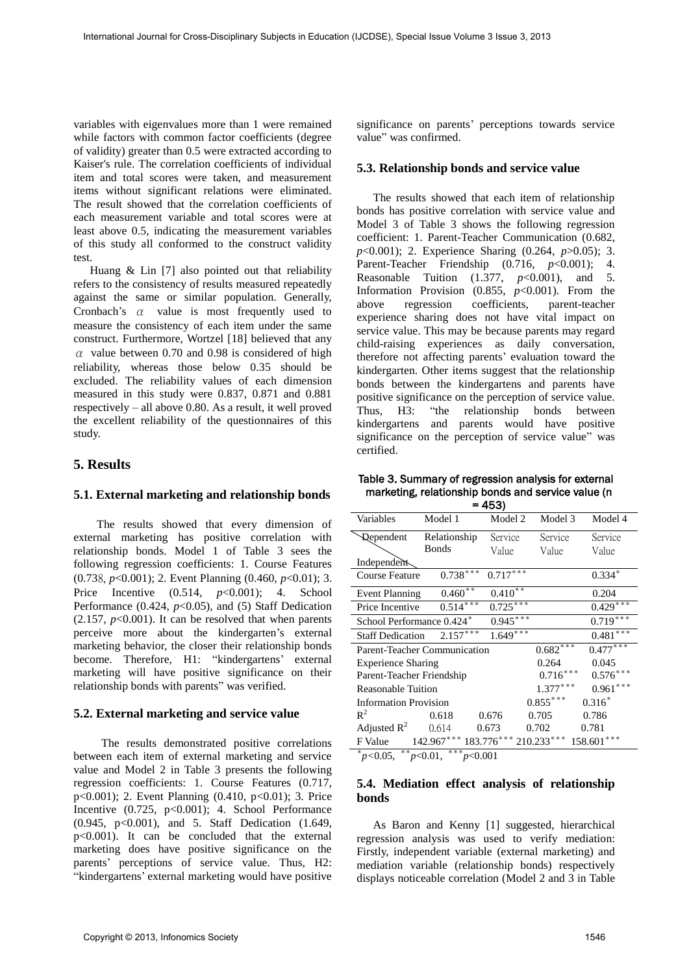variables with eigenvalues more than 1 were remained while factors with common factor coefficients (degree of validity) greater than 0.5 were extracted according to Kaiser's rule. The correlation coefficients of individual item and total scores were taken, and measurement items without significant relations were eliminated. The result showed that the correlation coefficients of each measurement variable and total scores were at least above 0.5, indicating the measurement variables of this study all conformed to the construct validity test.

Huang & Lin [7] also pointed out that reliability refers to the consistency of results measured repeatedly against the same or similar population. Generally, Cronbach's  $\alpha$  value is most frequently used to measure the consistency of each item under the same construct. Furthermore, Wortzel [18] believed that any  $\alpha$  value between 0.70 and 0.98 is considered of high reliability, whereas those below 0.35 should be excluded. The reliability values of each dimension measured in this study were 0.837, 0.871 and 0.881 respectively – all above 0.80. As a result, it well proved the excellent reliability of the questionnaires of this study.

# **5. Results**

## **5.1. External marketing and relationship bonds**

 The results showed that every dimension of external marketing has positive correlation with relationship bonds. Model 1 of Table 3 sees the following regression coefficients: 1. Course Features (0.738, *p*<0.001); 2. Event Planning (0.460, *p*<0.01); 3. Price Incentive (0.514, *p*<0.001); 4. School Performance (0.424,  $p<0.05$ ), and (5) Staff Dedication  $(2.157, p<0.001)$ . It can be resolved that when parents perceive more about the kindergarten's external marketing behavior, the closer their relationship bonds become. Therefore, H1: "kindergartens' external marketing will have positive significance on their relationship bonds with parents" was verified.

## **5.2. External marketing and service value**

The results demonstrated positive correlations between each item of external marketing and service value and Model 2 in Table 3 presents the following regression coefficients: 1. Course Features (0.717, p<0.001); 2. Event Planning (0.410, p<0.01); 3. Price Incentive  $(0.725, p<0.001)$ ; 4. School Performance (0.945, p<0.001), and 5. Staff Dedication (1.649, p<0.001). It can be concluded that the external marketing does have positive significance on the parents' perceptions of service value. Thus, H2: "kindergartens' external marketing would have positive significance on parents' perceptions towards service value" was confirmed.

## **5.3. Relationship bonds and service value**

The results showed that each item of relationship bonds has positive correlation with service value and Model 3 of Table 3 shows the following regression coefficient: 1. Parent-Teacher Communication (0.682, *p*<0.001); 2. Experience Sharing (0.264, *p*>0.05); 3. Parent-Teacher Friendship (0.716, *p*<0.001); 4. Reasonable Tuition (1.377, *p*<0.001), and 5. Information Provision  $(0.855, p<0.001)$ . From the above regression coefficients, parent-teacher experience sharing does not have vital impact on service value. This may be because parents may regard child-raising experiences as daily conversation, therefore not affecting parents' evaluation toward the kindergarten. Other items suggest that the relationship bonds between the kindergartens and parents have positive significance on the perception of service value. Thus, H3: "the relationship bonds between kindergartens and parents would have positive significance on the perception of service value" was certified.

Table 3. Summary of regression analysis for external marketing, relationship bonds and service value (n  $453$ 

| = 403)                                            |                                  |            |            |                |  |  |  |
|---------------------------------------------------|----------------------------------|------------|------------|----------------|--|--|--|
| Variables                                         | Model 1                          | Model 2    | Model 3    | Model 4        |  |  |  |
| <b>Qependent</b>                                  | Relationship                     | Service    | Service    | Service        |  |  |  |
|                                                   | Bonds                            | Value      | Value      | Value          |  |  |  |
| Independent                                       |                                  |            |            |                |  |  |  |
| Course Feature                                    | $0.738***$                       | $0.717***$ |            | $0.334*$       |  |  |  |
| <b>Event Planning</b>                             | $0.460**$                        | $0.410**$  |            | 0.204          |  |  |  |
| Price Incentive                                   | $0.514***$                       | $0.725***$ |            | $0.429***$     |  |  |  |
| School Performance 0.424*                         |                                  | $0.945***$ |            | $0.719***$     |  |  |  |
| <b>Staff Dedication</b>                           | $2.157***$                       | $1.649***$ |            | $0.481***$     |  |  |  |
| $0.682***$<br><b>Parent-Teacher Communication</b> |                                  |            |            | $0.477***$     |  |  |  |
| <b>Experience Sharing</b><br>0.264                |                                  |            |            | 0.045          |  |  |  |
| $0.716***$<br>Parent-Teacher Friendship           |                                  |            |            | $0.576***$     |  |  |  |
| $1.377***$<br><b>Reasonable Tuition</b>           |                                  |            |            | $0.961***$     |  |  |  |
| <b>Information Provision</b>                      |                                  |            | $0.855***$ | $0.316*$       |  |  |  |
| $R^2$                                             | 0.618                            | 0.676      | 0.705      | 0.786          |  |  |  |
| Adjusted $R^2$                                    | 0.614                            | 0.673      | 0.702      | 0.781          |  |  |  |
| F Value                                           | $142.967***183.776***210.233***$ |            |            | ***<br>158.601 |  |  |  |

\* *p<*0.05, \*\* *p*<0.01, \*\*\* *p*<0.001

# **5.4. Mediation effect analysis of relationship bonds**

As Baron and Kenny [1] suggested, hierarchical regression analysis was used to verify mediation: Firstly, independent variable (external marketing) and mediation variable (relationship bonds) respectively displays noticeable correlation (Model 2 and 3 in Table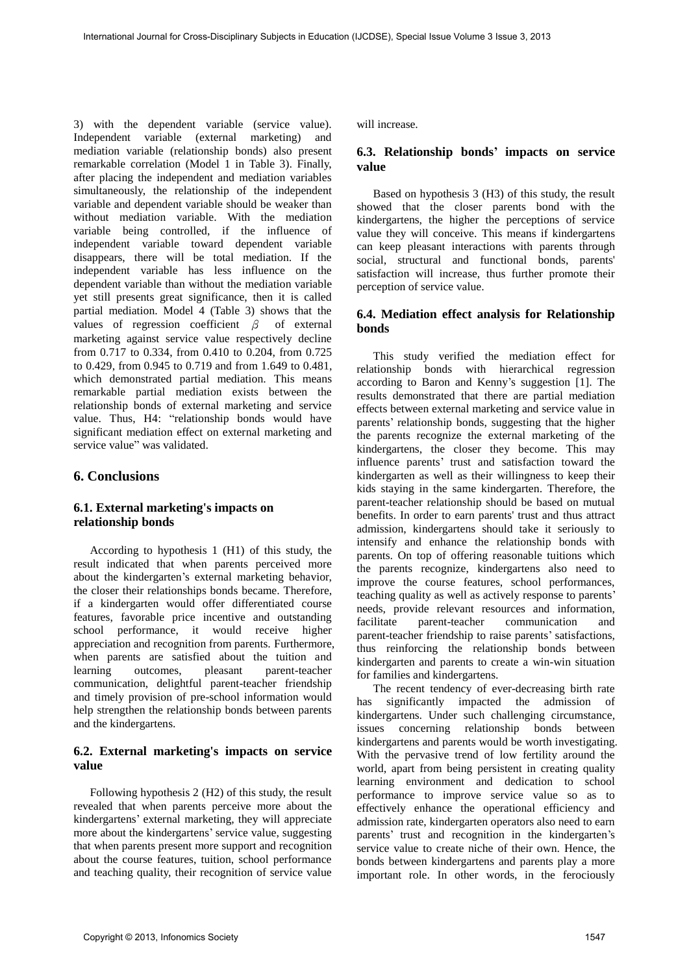3) with the dependent variable (service value). Independent variable (external marketing) and mediation variable (relationship bonds) also present remarkable correlation (Model 1 in Table 3). Finally, after placing the independent and mediation variables simultaneously, the relationship of the independent variable and dependent variable should be weaker than without mediation variable. With the mediation variable being controlled, if the influence of independent variable toward dependent variable disappears, there will be total mediation. If the independent variable has less influence on the dependent variable than without the mediation variable yet still presents great significance, then it is called partial mediation. Model 4 (Table 3) shows that the values of regression coefficient  $\beta$  of external marketing against service value respectively decline from 0.717 to 0.334, from 0.410 to 0.204, from 0.725 to 0.429, from 0.945 to 0.719 and from 1.649 to 0.481, which demonstrated partial mediation. This means remarkable partial mediation exists between the relationship bonds of external marketing and service value. Thus, H4: "relationship bonds would have significant mediation effect on external marketing and service value" was validated.

# **6. Conclusions**

## **6.1. External marketing's impacts on relationship bonds**

According to hypothesis 1 (H1) of this study, the result indicated that when parents perceived more about the kindergarten's external marketing behavior, the closer their relationships bonds became. Therefore, if a kindergarten would offer differentiated course features, favorable price incentive and outstanding school performance, it would receive higher appreciation and recognition from parents. Furthermore, when parents are satisfied about the tuition and learning outcomes, pleasant parent-teacher communication, delightful parent-teacher friendship and timely provision of pre-school information would help strengthen the relationship bonds between parents and the kindergartens.

## **6.2. External marketing's impacts on service value**

Following hypothesis 2 (H2) of this study, the result revealed that when parents perceive more about the kindergartens' external marketing, they will appreciate more about the kindergartens' service value, suggesting that when parents present more support and recognition about the course features, tuition, school performance and teaching quality, their recognition of service value

will increase.

# **6.3. Relationship bonds' impacts on service value**

Based on hypothesis 3 (H3) of this study, the result showed that the closer parents bond with the kindergartens, the higher the perceptions of service value they will conceive. This means if kindergartens can keep pleasant interactions with parents through social, structural and functional bonds, parents' satisfaction will increase, thus further promote their perception of service value.

## **6.4. Mediation effect analysis for Relationship bonds**

This study verified the mediation effect for relationship bonds with hierarchical regression according to Baron and Kenny's suggestion [1]. The results demonstrated that there are partial mediation effects between external marketing and service value in parents' relationship bonds, suggesting that the higher the parents recognize the external marketing of the kindergartens, the closer they become. This may influence parents' trust and satisfaction toward the kindergarten as well as their willingness to keep their kids staying in the same kindergarten. Therefore, the parent-teacher relationship should be based on mutual benefits. In order to earn parents' trust and thus attract admission, kindergartens should take it seriously to intensify and enhance the relationship bonds with parents. On top of offering reasonable tuitions which the parents recognize, kindergartens also need to improve the course features, school performances, teaching quality as well as actively response to parents' needs, provide relevant resources and information, facilitate parent-teacher communication and parent-teacher friendship to raise parents' satisfactions, thus reinforcing the relationship bonds between kindergarten and parents to create a win-win situation for families and kindergartens.

The recent tendency of ever-decreasing birth rate has significantly impacted the admission of kindergartens. Under such challenging circumstance, issues concerning relationship bonds between kindergartens and parents would be worth investigating. With the pervasive trend of low fertility around the world, apart from being persistent in creating quality learning environment and dedication to school performance to improve service value so as to effectively enhance the operational efficiency and admission rate, kindergarten operators also need to earn parents' trust and recognition in the kindergarten's service value to create niche of their own. Hence, the bonds between kindergartens and parents play a more important role. In other words, in the ferociously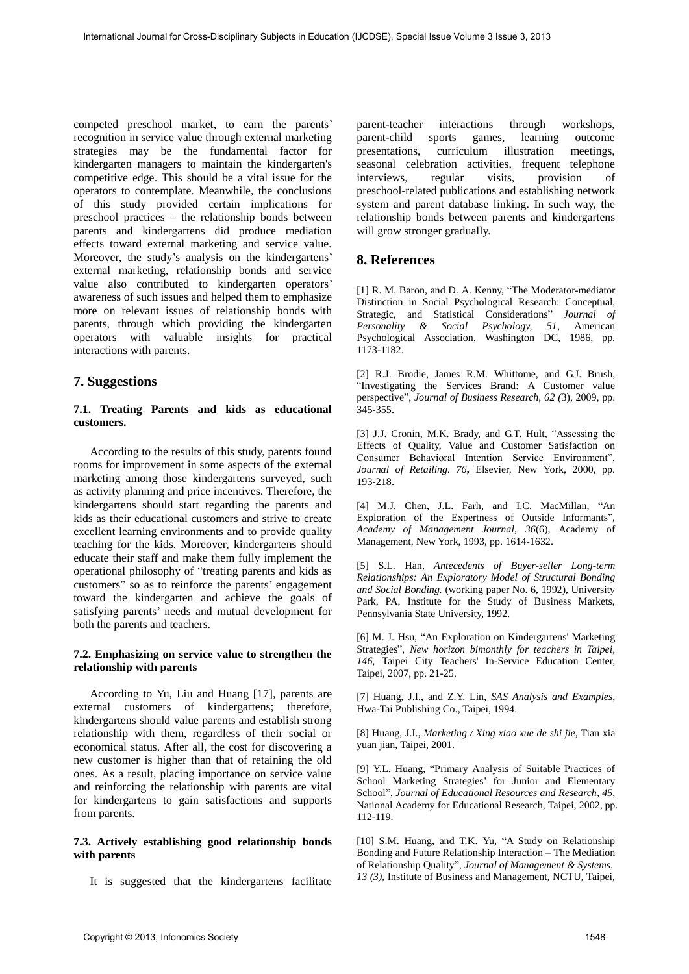competed preschool market, to earn the parents' recognition in service value through external marketing strategies may be the fundamental factor for kindergarten managers to maintain the kindergarten's competitive edge. This should be a vital issue for the operators to contemplate. Meanwhile, the conclusions of this study provided certain implications for preschool practices – the relationship bonds between parents and kindergartens did produce mediation effects toward external marketing and service value. Moreover, the study's analysis on the kindergartens' external marketing, relationship bonds and service value also contributed to kindergarten operators' awareness of such issues and helped them to emphasize more on relevant issues of relationship bonds with parents, through which providing the kindergarten operators with valuable insights for practical interactions with parents.

# **7. Suggestions**

### **7.1. Treating Parents and kids as educational customers.**

According to the results of this study, parents found rooms for improvement in some aspects of the external marketing among those kindergartens surveyed, such as activity planning and price incentives. Therefore, the kindergartens should start regarding the parents and kids as their educational customers and strive to create excellent learning environments and to provide quality teaching for the kids. Moreover, kindergartens should educate their staff and make them fully implement the operational philosophy of "treating parents and kids as customers" so as to reinforce the parents' engagement toward the kindergarten and achieve the goals of satisfying parents' needs and mutual development for both the parents and teachers.

### **7.2. Emphasizing on service value to strengthen the relationship with parents**

According to Yu, Liu and Huang [17], parents are external customers of kindergartens; therefore, kindergartens should value parents and establish strong relationship with them, regardless of their social or economical status. After all, the cost for discovering a new customer is higher than that of retaining the old ones. As a result, placing importance on service value and reinforcing the relationship with parents are vital for kindergartens to gain satisfactions and supports from parents.

### **7.3. Actively establishing good relationship bonds with parents**

It is suggested that the kindergartens facilitate

parent-teacher interactions through workshops, parent-child sports games, learning outcome presentations, curriculum illustration meetings, seasonal celebration activities, frequent telephone interviews, regular visits, provision of preschool-related publications and establishing network system and parent database linking. In such way, the relationship bonds between parents and kindergartens will grow stronger gradually.

# **8. References**

[1] R. M. Baron, and D. A. Kenny, "The Moderator-mediator Distinction in Social Psychological Research: Conceptual, Strategic, and Statistical Considerations" *Journal of Personality & Social Psychology, 51*, [American](http://www.apa.org/about/contact/copyright/index.aspx)  [Psychological Association,](http://www.apa.org/about/contact/copyright/index.aspx) Washington DC, 1986, pp. 1173-1182.

[2] R.J. Brodie, James R.M. Whittome, and G.J. Brush, "Investigating the Services Brand: A Customer value perspective", *Journal of Business Research, 62 (*3), 2009, pp. 345-355.

[3] J.J. Cronin, M.K. Brady, and G.T. Hult, "Assessing the Effects of Quality, Value and Customer Satisfaction on Consumer Behavioral Intention Service Environment", *Journal of Retailing. 76***,** Elsevier, New York, 2000, pp. 193-218.

[4] M.J. Chen, J.L. Farh, and I.C. MacMillan, "An Exploration of the Expertness of Outside Informants", *Academy of Management Journal, 36*(6), Academy of Management, New York, 1993, pp. 1614-1632.

[5] S.L. Han, *Antecedents of Buyer-seller Long-term Relationships: An Exploratory Model of Structural Bonding and Social Bonding.* (working paper No. 6, 1992), University Park, PA, Institute for the Study of Business Markets, Pennsylvania State University, 1992.

[6] M. J. Hsu, "An Exploration on Kindergartens' Marketing Strategies", *New horizon bimonthly for teachers in Taipei, 146*, Taipei City Teachers' In-Service Education Center, Taipei, 2007, pp. 21-25.

[7] Huang, J.I., and Z.Y. Lin, *SAS Analysis and Examples*, Hwa-Tai Publishing Co., Taipei, 1994.

[8] Huang, J.I., *Marketing / Xing xiao xue de shi jie*, Tian xia yuan jian, Taipei, 2001.

[9] Y.L. Huang, "Primary Analysis of Suitable Practices of School Marketing Strategies' for Junior and Elementary School", *Journal of Educational Resources and Research, 45*, National Academy for Educational Research, Taipei, 2002, pp. 112-119.

[10] S.M. Huang, and T.K. Yu, "A Study on Relationship Bonding and Future Relationship Interaction – The Mediation of Relationship Quality", *Journal of Management & Systems, 13 (3)*, Institute of Business and Management, NCTU, Taipei,